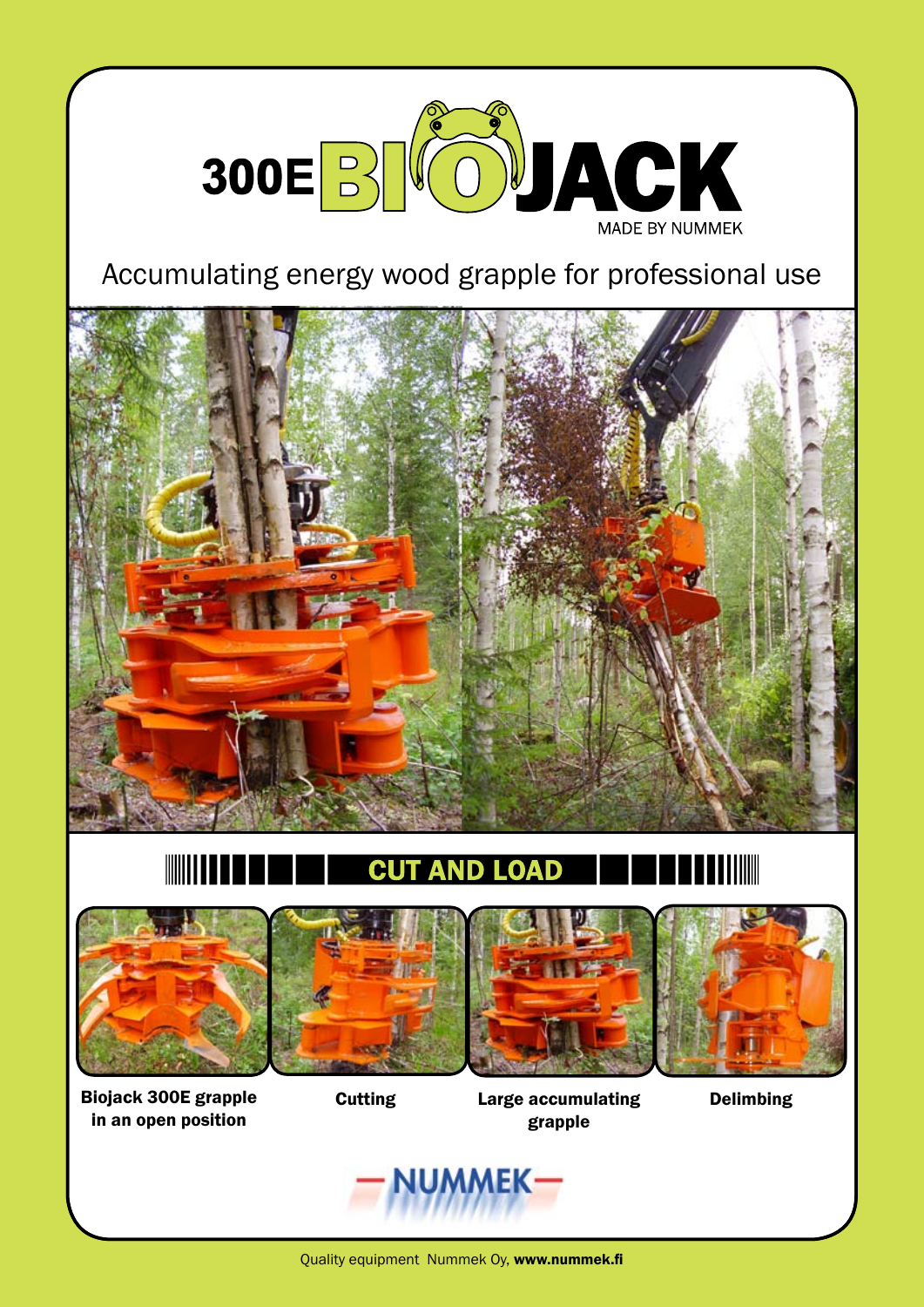

Accumulating energy wood grapple for professional use



#### **CUT** ND I O







Biojack 300E grapple in an open position

Cutting Large accumulating grapple